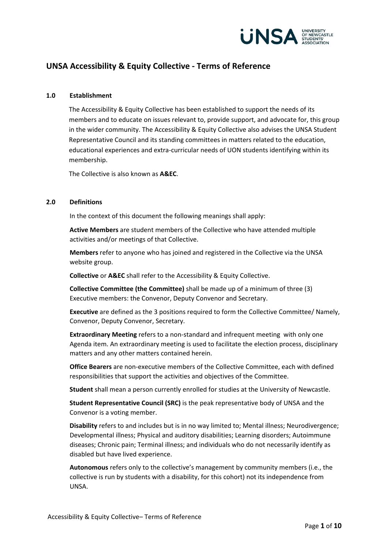

# **UNSA Accessibility & Equity Collective - Terms of Reference**

#### **1.0 Establishment**

The Accessibility & Equity Collective has been established to support the needs of its members and to educate on issues relevant to, provide support, and advocate for, this group in the wider community. The Accessibility & Equity Collective also advises the UNSA Student Representative Council and its standing committees in matters related to the education, educational experiences and extra-curricular needs of UON students identifying within its membership.

The Collective is also known as **A&EC**.

#### **2.0 Definitions**

In the context of this document the following meanings shall apply:

**Active Members** are student members of the Collective who have attended multiple activities and/or meetings of that Collective.

**Members** refer to anyone who has joined and registered in the Collective via the UNSA website group.

**Collective** or **A&EC** shall refer to the Accessibility & Equity Collective.

**Collective Committee (the Committee)** shall be made up of a minimum of three (3) Executive members: the Convenor, Deputy Convenor and Secretary.

**Executive** are defined as the 3 positions required to form the Collective Committee/ Namely, Convenor, Deputy Convenor, Secretary.

**Extraordinary Meeting** refers to a non-standard and infrequent meeting with only one Agenda item. An extraordinary meeting is used to facilitate the election process, disciplinary matters and any other matters contained herein.

**Office Bearers** are non-executive members of the Collective Committee, each with defined responsibilities that support the activities and objectives of the Committee.

**Student** shall mean a person currently enrolled for studies at the University of Newcastle.

**Student Representative Council (SRC)** is the peak representative body of UNSA and the Convenor is a voting member.

**Disability** refers to and includes but is in no way limited to; Mental illness; Neurodivergence; Developmental illness; Physical and auditory disabilities; Learning disorders; Autoimmune diseases; Chronic pain; Terminal illness; and individuals who do not necessarily identify as disabled but have lived experience.

**Autonomous** refers only to the collective's management by community members (i.e., the collective is run by students with a disability, for this cohort) not its independence from UNSA.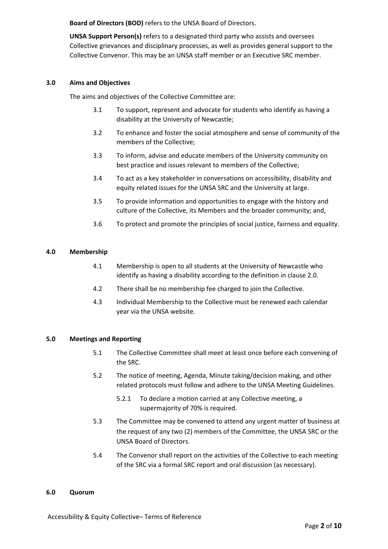**Board of Directors (BOD)** refers to the UNSA Board of Directors.

**UNSA Support Person(s)** refers to a designated third party who assists and oversees Collective grievances and disciplinary processes, as well as provides general support to the Collective Convenor. This may be an UNSA staff member or an Executive SRC member.

## **3.0 Aims and Objectives**

The aims and objectives of the Collective Committee are:

- 3.1 To support, represent and advocate for students who identify as having a disability at the University of Newcastle;
- 3.2 To enhance and foster the social atmosphere and sense of community of the members of the Collective;
- 3.3 To inform, advise and educate members of the University community on best practice and issues relevant to members of the Collective;
- 3.4 To act as a key stakeholder in conversations on accessibility, disability and equity related issues for the UNSA SRC and the University at large.
- 3.5 To provide information and opportunities to engage with the history and culture of the Collective, its Members and the broader community; and,
- 3.6 To protect and promote the principles of social justice, fairness and equality.

## **4.0 Membership**

- 4.1 Membership is open to all students at the University of Newcastle who identify as having a disability according to the definition in clause 2.0.
- 4.2 There shall be no membership fee charged to join the Collective.
- 4.3 Individual Membership to the Collective must be renewed each calendar year via the UNSA website.

### **5.0 Meetings and Reporting**

- 5.1 The Collective Committee shall meet at least once before each convening of the SRC.
- 5.2 The notice of meeting, Agenda, Minute taking/decision making, and other related protocols must follow and adhere to the UNSA Meeting Guidelines.
	- 5.2.1 To declare a motion carried at any Collective meeting, a supermajority of 70% is required.
- 5.3 The Committee may be convened to attend any urgent matter of business at the request of any two (2) members of the Committee, the UNSA SRC or the UNSA Board of Directors.
- 5.4 The Convenor shall report on the activities of the Collective to each meeting of the SRC via a formal SRC report and oral discussion (as necessary).

#### **6.0 Quorum**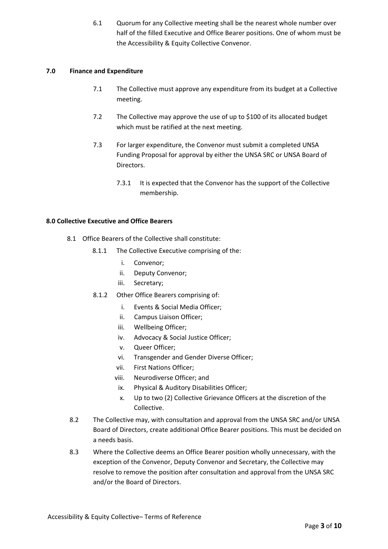6.1 Quorum for any Collective meeting shall be the nearest whole number over half of the filled Executive and Office Bearer positions. One of whom must be the Accessibility & Equity Collective Convenor.

## **7.0 Finance and Expenditure**

- 7.1 The Collective must approve any expenditure from its budget at a Collective meeting.
- 7.2 The Collective may approve the use of up to \$100 of its allocated budget which must be ratified at the next meeting.
- 7.3 For larger expenditure, the Convenor must submit a completed UNSA Funding Proposal for approval by either the UNSA SRC or UNSA Board of Directors.
	- 7.3.1 It is expected that the Convenor has the support of the Collective membership.

## **8.0 Collective Executive and Office Bearers**

- 8.1 Office Bearers of the Collective shall constitute:
	- 8.1.1 The Collective Executive comprising of the:
		- i. Convenor;
		- ii. Deputy Convenor;
		- iii. Secretary;
	- 8.1.2 Other Office Bearers comprising of:
		- i. Events & Social Media Officer;
		- ii. Campus Liaison Officer;
		- iii. Wellbeing Officer;
		- iv. Advocacy & Social Justice Officer;
		- v. Queer Officer;
		- vi. Transgender and Gender Diverse Officer;
		- vii. First Nations Officer;
		- viii. Neurodiverse Officer; and
		- ix. Physical & Auditory Disabilities Officer;
		- x. Up to two (2) Collective Grievance Officers at the discretion of the Collective.
- 8.2 The Collective may, with consultation and approval from the UNSA SRC and/or UNSA Board of Directors, create additional Office Bearer positions. This must be decided on a needs basis.
- 8.3 Where the Collective deems an Office Bearer position wholly unnecessary, with the exception of the Convenor, Deputy Convenor and Secretary, the Collective may resolve to remove the position after consultation and approval from the UNSA SRC and/or the Board of Directors.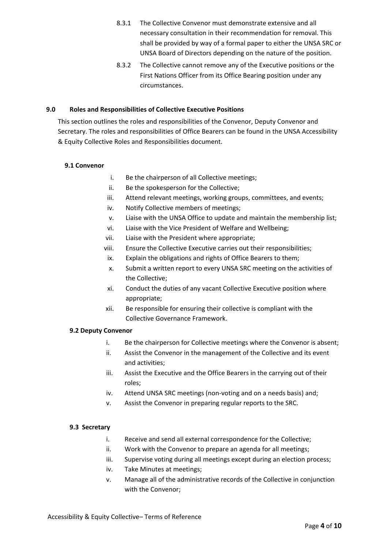- 8.3.1 The Collective Convenor must demonstrate extensive and all necessary consultation in their recommendation for removal. This shall be provided by way of a formal paper to either the UNSA SRC or UNSA Board of Directors depending on the nature of the position.
- 8.3.2 The Collective cannot remove any of the Executive positions or the First Nations Officer from its Office Bearing position under any circumstances.

## **9.0 Roles and Responsibilities of Collective Executive Positions**

This section outlines the roles and responsibilities of the Convenor, Deputy Convenor and Secretary. The roles and responsibilities of Office Bearers can be found in the UNSA Accessibility & Equity Collective Roles and Responsibilities document.

## **9.1 Convenor**

- i. Be the chairperson of all Collective meetings;
- ii. Be the spokesperson for the Collective;
- iii. Attend relevant meetings, working groups, committees, and events;
- iv. Notify Collective members of meetings;
- v. Liaise with the UNSA Office to update and maintain the membership list;
- vi. Liaise with the Vice President of Welfare and Wellbeing;
- vii. Liaise with the President where appropriate;
- viii. Ensure the Collective Executive carries out their responsibilities;
- ix. Explain the obligations and rights of Office Bearers to them;
- x. Submit a written report to every UNSA SRC meeting on the activities of the Collective;
- xi. Conduct the duties of any vacant Collective Executive position where appropriate;
- xii. Be responsible for ensuring their collective is compliant with the Collective Governance Framework.

### **9.2 Deputy Convenor**

- i. Be the chairperson for Collective meetings where the Convenor is absent;
- ii. Assist the Convenor in the management of the Collective and its event and activities;
- iii. Assist the Executive and the Office Bearers in the carrying out of their roles;
- iv. Attend UNSA SRC meetings (non-voting and on a needs basis) and;
- v. Assist the Convenor in preparing regular reports to the SRC.

### **9.3 Secretary**

- i. Receive and send all external correspondence for the Collective;
- ii. Work with the Convenor to prepare an agenda for all meetings;
- iii. Supervise voting during all meetings except during an election process;
- iv. Take Minutes at meetings;
- v. Manage all of the administrative records of the Collective in conjunction with the Convenor;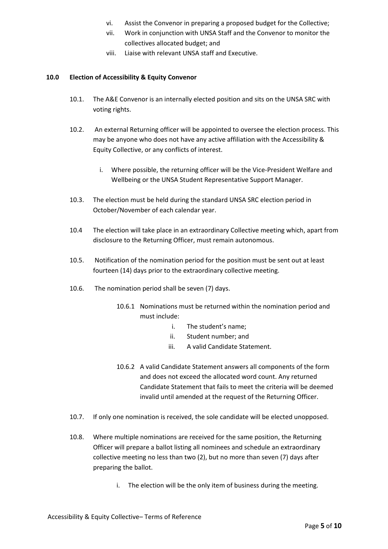- vi. Assist the Convenor in preparing a proposed budget for the Collective;
- vii. Work in conjunction with UNSA Staff and the Convenor to monitor the collectives allocated budget; and
- viii. Liaise with relevant UNSA staff and Executive.

# **10.0 Election of Accessibility & Equity Convenor**

- 10.1. The A&E Convenor is an internally elected position and sits on the UNSA SRC with voting rights.
- 10.2. An external Returning officer will be appointed to oversee the election process. This may be anyone who does not have any active affiliation with the Accessibility & Equity Collective, or any conflicts of interest.
	- i. Where possible, the returning officer will be the Vice-President Welfare and Wellbeing or the UNSA Student Representative Support Manager.
- 10.3. The election must be held during the standard UNSA SRC election period in October/November of each calendar year.
- 10.4 The election will take place in an extraordinary Collective meeting which, apart from disclosure to the Returning Officer, must remain autonomous.
- 10.5. Notification of the nomination period for the position must be sent out at least fourteen (14) days prior to the extraordinary collective meeting.
- 10.6. The nomination period shall be seven (7) days.
	- 10.6.1 Nominations must be returned within the nomination period and must include:
		- i. The student's name;
		- ii. Student number; and
		- iii. A valid Candidate Statement.
	- 10.6.2 A valid Candidate Statement answers all components of the form and does not exceed the allocated word count. Any returned Candidate Statement that fails to meet the criteria will be deemed invalid until amended at the request of the Returning Officer.
- 10.7. If only one nomination is received, the sole candidate will be elected unopposed.
- 10.8. Where multiple nominations are received for the same position, the Returning Officer will prepare a ballot listing all nominees and schedule an extraordinary collective meeting no less than two (2), but no more than seven (7) days after preparing the ballot.
	- i. The election will be the only item of business during the meeting.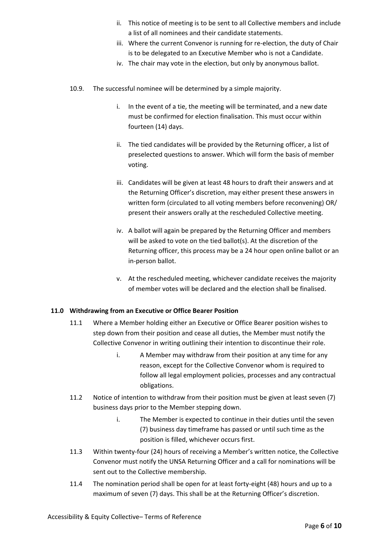- ii. This notice of meeting is to be sent to all Collective members and include a list of all nominees and their candidate statements.
- iii. Where the current Convenor is running for re-election, the duty of Chair is to be delegated to an Executive Member who is not a Candidate.
- iv. The chair may vote in the election, but only by anonymous ballot.
- 10.9. The successful nominee will be determined by a simple majority.
	- i. In the event of a tie, the meeting will be terminated, and a new date must be confirmed for election finalisation. This must occur within fourteen (14) days.
	- ii. The tied candidates will be provided by the Returning officer, a list of preselected questions to answer. Which will form the basis of member voting.
	- iii. Candidates will be given at least 48 hours to draft their answers and at the Returning Officer's discretion, may either present these answers in written form (circulated to all voting members before reconvening) OR/ present their answers orally at the rescheduled Collective meeting.
	- iv. A ballot will again be prepared by the Returning Officer and members will be asked to vote on the tied ballot(s). At the discretion of the Returning officer, this process may be a 24 hour open online ballot or an in-person ballot.
	- v. At the rescheduled meeting, whichever candidate receives the majority of member votes will be declared and the election shall be finalised.

### **11.0 Withdrawing from an Executive or Office Bearer Position**

- 11.1 Where a Member holding either an Executive or Office Bearer position wishes to step down from their position and cease all duties, the Member must notify the Collective Convenor in writing outlining their intention to discontinue their role.
	- i. A Member may withdraw from their position at any time for any reason, except for the Collective Convenor whom is required to follow all legal employment policies, processes and any contractual obligations.
- 11.2 Notice of intention to withdraw from their position must be given at least seven (7) business days prior to the Member stepping down.
	- i. The Member is expected to continue in their duties until the seven (7) business day timeframe has passed or until such time as the position is filled, whichever occurs first.
- 11.3 Within twenty-four (24) hours of receiving a Member's written notice, the Collective Convenor must notify the UNSA Returning Officer and a call for nominations will be sent out to the Collective membership.
- 11.4 The nomination period shall be open for at least forty-eight (48) hours and up to a maximum of seven (7) days. This shall be at the Returning Officer's discretion.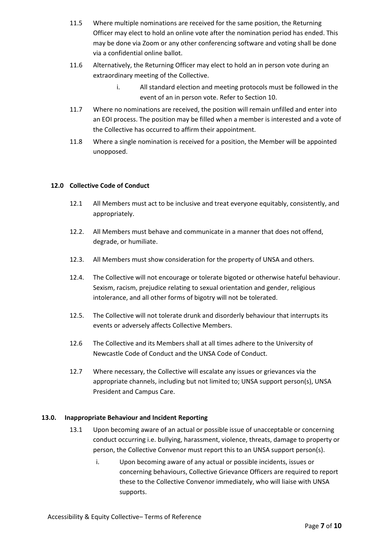- 11.5 Where multiple nominations are received for the same position, the Returning Officer may elect to hold an online vote after the nomination period has ended. This may be done via Zoom or any other conferencing software and voting shall be done via a confidential online ballot.
- 11.6 Alternatively, the Returning Officer may elect to hold an in person vote during an extraordinary meeting of the Collective.
	- i. All standard election and meeting protocols must be followed in the event of an in person vote. Refer to Section 10.
- 11.7 Where no nominations are received, the position will remain unfilled and enter into an EOI process. The position may be filled when a member is interested and a vote of the Collective has occurred to affirm their appointment.
- 11.8 Where a single nomination is received for a position, the Member will be appointed unopposed.

## **12.0 Collective Code of Conduct**

- 12.1 All Members must act to be inclusive and treat everyone equitably, consistently, and appropriately.
- 12.2. All Members must behave and communicate in a manner that does not offend, degrade, or humiliate.
- 12.3. All Members must show consideration for the property of UNSA and others.
- 12.4. The Collective will not encourage or tolerate bigoted or otherwise hateful behaviour. Sexism, racism, prejudice relating to sexual orientation and gender, religious intolerance, and all other forms of bigotry will not be tolerated.
- 12.5. The Collective will not tolerate drunk and disorderly behaviour that interrupts its events or adversely affects Collective Members.
- 12.6 The Collective and its Members shall at all times adhere to the University of Newcastle Code of Conduct and the UNSA Code of Conduct.
- 12.7 Where necessary, the Collective will escalate any issues or grievances via the appropriate channels, including but not limited to; UNSA support person(s), UNSA President and Campus Care.

### **13.0. Inappropriate Behaviour and Incident Reporting**

- 13.1 Upon becoming aware of an actual or possible issue of unacceptable or concerning conduct occurring i.e. bullying, harassment, violence, threats, damage to property or person, the Collective Convenor must report this to an UNSA support person(s).
	- i. Upon becoming aware of any actual or possible incidents, issues or concerning behaviours, Collective Grievance Officers are required to report these to the Collective Convenor immediately, who will liaise with UNSA supports.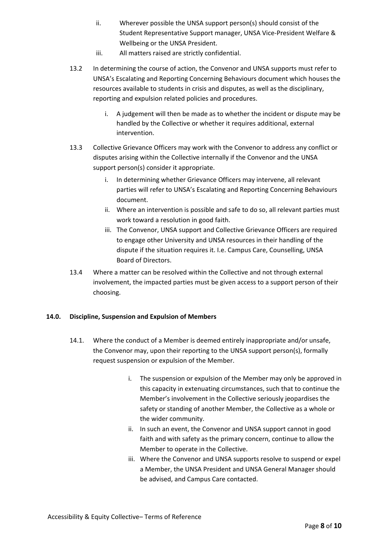- ii. Wherever possible the UNSA support person(s) should consist of the Student Representative Support manager, UNSA Vice-President Welfare & Wellbeing or the UNSA President.
- iii. All matters raised are strictly confidential.
- 13.2 In determining the course of action, the Convenor and UNSA supports must refer to UNSA's Escalating and Reporting Concerning Behaviours document which houses the resources available to students in crisis and disputes, as well as the disciplinary, reporting and expulsion related policies and procedures.
	- i. A judgement will then be made as to whether the incident or dispute may be handled by the Collective or whether it requires additional, external intervention.
- 13.3 Collective Grievance Officers may work with the Convenor to address any conflict or disputes arising within the Collective internally if the Convenor and the UNSA support person(s) consider it appropriate.
	- i. In determining whether Grievance Officers may intervene, all relevant parties will refer to UNSA's Escalating and Reporting Concerning Behaviours document.
	- ii. Where an intervention is possible and safe to do so, all relevant parties must work toward a resolution in good faith.
	- iii. The Convenor, UNSA support and Collective Grievance Officers are required to engage other University and UNSA resources in their handling of the dispute if the situation requires it. I.e. Campus Care, Counselling, UNSA Board of Directors.
- 13.4 Where a matter can be resolved within the Collective and not through external involvement, the impacted parties must be given access to a support person of their choosing.

## **14.0. Discipline, Suspension and Expulsion of Members**

- 14.1. Where the conduct of a Member is deemed entirely inappropriate and/or unsafe, the Convenor may, upon their reporting to the UNSA support person(s), formally request suspension or expulsion of the Member.
	- i. The suspension or expulsion of the Member may only be approved in this capacity in extenuating circumstances, such that to continue the Member's involvement in the Collective seriously jeopardises the safety or standing of another Member, the Collective as a whole or the wider community.
	- ii. In such an event, the Convenor and UNSA support cannot in good faith and with safety as the primary concern, continue to allow the Member to operate in the Collective.
	- iii. Where the Convenor and UNSA supports resolve to suspend or expel a Member, the UNSA President and UNSA General Manager should be advised, and Campus Care contacted.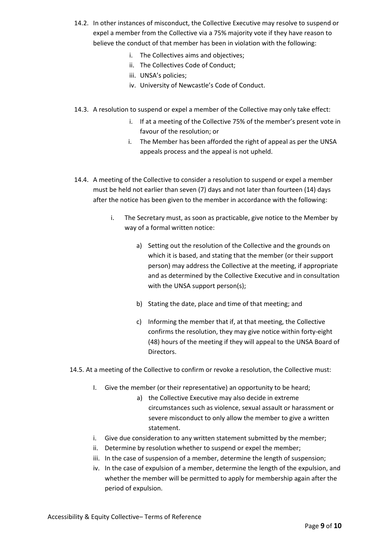- 14.2. In other instances of misconduct, the Collective Executive may resolve to suspend or expel a member from the Collective via a 75% majority vote if they have reason to believe the conduct of that member has been in violation with the following:
	- i. The Collectives aims and objectives;
	- ii. The Collectives Code of Conduct;
	- iii. UNSA's policies;
	- iv. University of Newcastle's Code of Conduct.
- 14.3. A resolution to suspend or expel a member of the Collective may only take effect:
	- i. If at a meeting of the Collective 75% of the member's present vote in favour of the resolution; or
	- i. The Member has been afforded the right of appeal as per the UNSA appeals process and the appeal is not upheld.
- 14.4. A meeting of the Collective to consider a resolution to suspend or expel a member must be held not earlier than seven (7) days and not later than fourteen (14) days after the notice has been given to the member in accordance with the following:
	- i. The Secretary must, as soon as practicable, give notice to the Member by way of a formal written notice:
		- a) Setting out the resolution of the Collective and the grounds on which it is based, and stating that the member (or their support person) may address the Collective at the meeting, if appropriate and as determined by the Collective Executive and in consultation with the UNSA support person(s);
		- b) Stating the date, place and time of that meeting; and
		- c) Informing the member that if, at that meeting, the Collective confirms the resolution, they may give notice within forty-eight (48) hours of the meeting if they will appeal to the UNSA Board of Directors.

14.5. At a meeting of the Collective to confirm or revoke a resolution, the Collective must:

- I. Give the member (or their representative) an opportunity to be heard;
	- a) the Collective Executive may also decide in extreme circumstances such as violence, sexual assault or harassment or severe misconduct to only allow the member to give a written statement.
- i. Give due consideration to any written statement submitted by the member;
- ii. Determine by resolution whether to suspend or expel the member;
- iii. In the case of suspension of a member, determine the length of suspension;
- iv. In the case of expulsion of a member, determine the length of the expulsion, and whether the member will be permitted to apply for membership again after the period of expulsion.